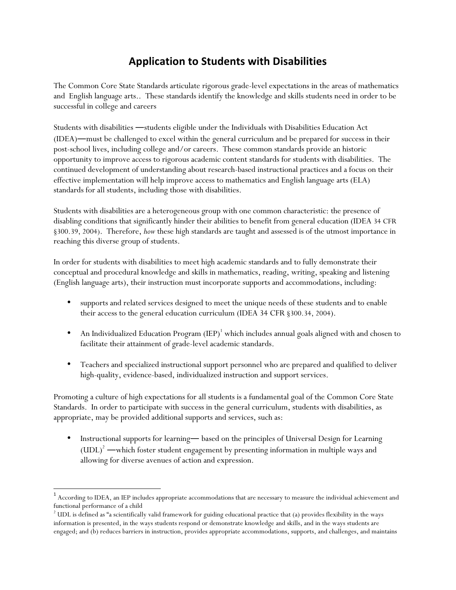## **Application to Students with Disabilities**

The Common Core State Standards articulate rigorous grade-level expectations in the areas of mathematics and English language arts.. These standards identify the knowledge and skills students need in order to be successful in college and careers

Students with disabilities ―students eligible under the Individuals with Disabilities Education Act (IDEA)―must be challenged to excel within the general curriculum and be prepared for success in their post-school lives, including college and/or careers. These common standards provide an historic opportunity to improve access to rigorous academic content standards for students with disabilities. The continued development of understanding about research-based instructional practices and a focus on their effective implementation will help improve access to mathematics and English language arts (ELA) standards for all students, including those with disabilities.

Students with disabilities are a heterogeneous group with one common characteristic: the presence of disabling conditions that significantly hinder their abilities to benefit from general education (IDEA 34 CFR §300.39, 2004). Therefore, *how* these high standards are taught and assessed is of the utmost importance in reaching this diverse group of students.

In order for students with disabilities to meet high academic standards and to fully demonstrate their conceptual and procedural knowledge and skills in mathematics, reading, writing, speaking and listening (English language arts), their instruction must incorporate supports and accommodations, including:

- supports and related services designed to meet the unique needs of these students and to enable their access to the general education curriculum (IDEA 34 CFR §300.34, 2004).
- An Individualized Education Program  $(IEP)^1$  which includes annual goals aligned with and chosen to facilitate their attainment of grade-level academic standards.
- Teachers and specialized instructional support personnel who are prepared and qualified to deliver high-quality, evidence-based, individualized instruction and support services.

Promoting a culture of high expectations for all students is a fundamental goal of the Common Core State Standards. In order to participate with success in the general curriculum, students with disabilities, as appropriate, may be provided additional supports and services, such as:

• Instructional supports for learning― based on the principles of Universal Design for Learning  $(UDL)^2$  —which foster student engagement by presenting information in multiple ways and allowing for diverse avenues of action and expression.

!!!!!!!!!!!!!!!!!!!!!!!!!!!!!!!!!!!!!!!!!!!!!!!!!!!!!!!!!!!!

<sup>&</sup>lt;sup>1</sup> According to IDEA, an IEP includes appropriate accommodations that are necessary to measure the individual achievement and functional performance of a child

 $^2$  UDL is defined as "a scientifically valid framework for guiding educational practice that (a) provides flexibility in the ways information is presented, in the ways students respond or demonstrate knowledge and skills, and in the ways students are engaged; and (b) reduces barriers in instruction, provides appropriate accommodations, supports, and challenges, and maintains